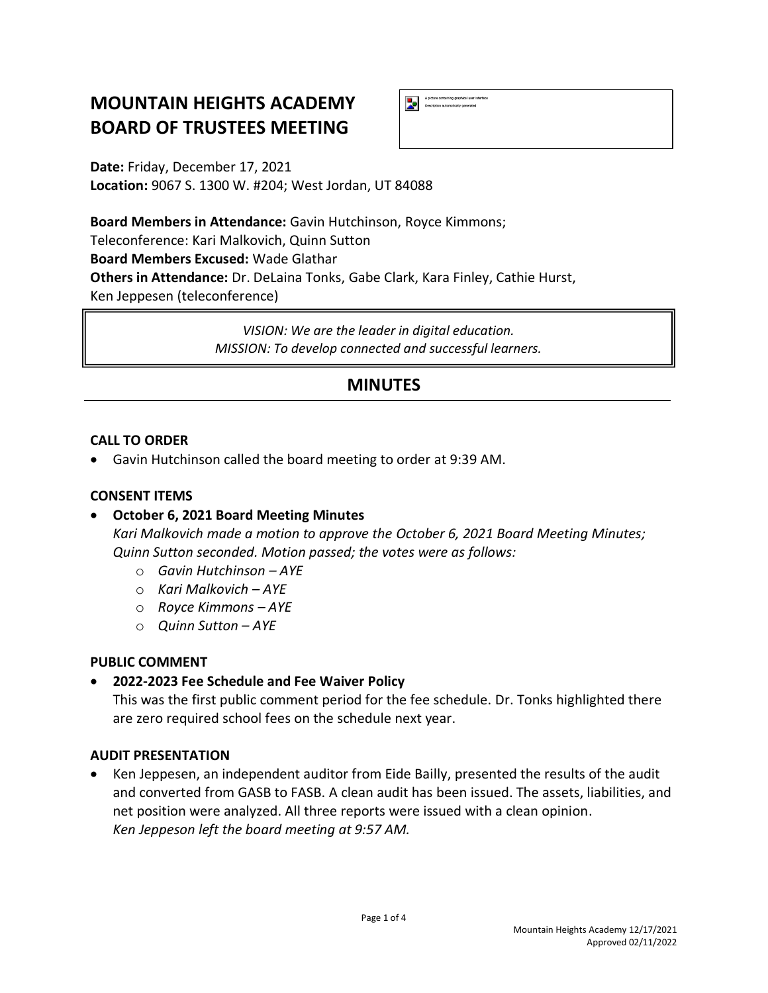# **MOUNTAIN HEIGHTS ACADEMY BOARD OF TRUSTEES MEETING**

A picture containing graphical user inter<br>Description automatically generated Ы

**Date:** Friday, December 17, 2021 **Location:** 9067 S. 1300 W. #204; West Jordan, UT 84088

**Board Members in Attendance:** Gavin Hutchinson, Royce Kimmons; Teleconference: Kari Malkovich, Quinn Sutton **Board Members Excused:** Wade Glathar **Others in Attendance:** Dr. DeLaina Tonks, Gabe Clark, Kara Finley, Cathie Hurst, Ken Jeppesen (teleconference)

> *VISION: We are the leader in digital education. MISSION: To develop connected and successful learners.*

## **MINUTES**

#### **CALL TO ORDER**

• Gavin Hutchinson called the board meeting to order at 9:39 AM.

#### **CONSENT ITEMS**

## • **October 6, 2021 Board Meeting Minutes**

*Kari Malkovich made a motion to approve the October 6, 2021 Board Meeting Minutes; Quinn Sutton seconded. Motion passed; the votes were as follows:*

- o *Gavin Hutchinson – AYE*
- o *Kari Malkovich – AYE*
- o *Royce Kimmons – AYE*
- o *Quinn Sutton – AYE*

#### **PUBLIC COMMENT**

• **2022-2023 Fee Schedule and Fee Waiver Policy**

This was the first public comment period for the fee schedule. Dr. Tonks highlighted there are zero required school fees on the schedule next year.

#### **AUDIT PRESENTATION**

• Ken Jeppesen, an independent auditor from Eide Bailly, presented the results of the audit and converted from GASB to FASB. A clean audit has been issued. The assets, liabilities, and net position were analyzed. All three reports were issued with a clean opinion. *Ken Jeppeson left the board meeting at 9:57 AM.*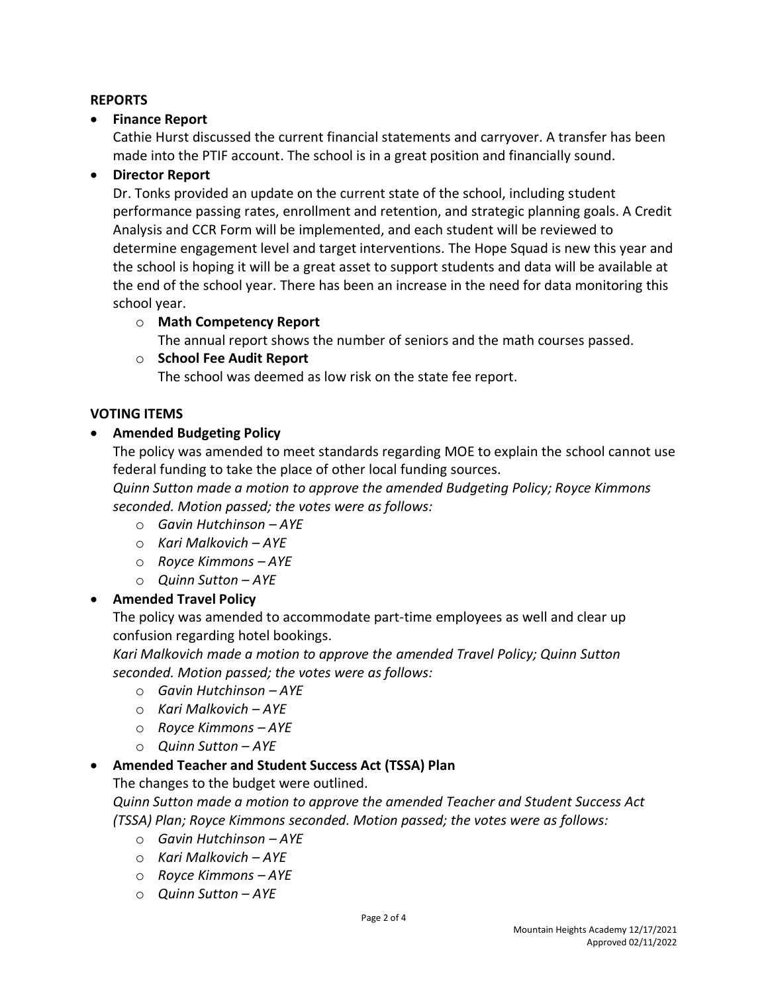#### **REPORTS**

#### • **Finance Report**

Cathie Hurst discussed the current financial statements and carryover. A transfer has been made into the PTIF account. The school is in a great position and financially sound.

## • **Director Report**

Dr. Tonks provided an update on the current state of the school, including student performance passing rates, enrollment and retention, and strategic planning goals. A Credit Analysis and CCR Form will be implemented, and each student will be reviewed to determine engagement level and target interventions. The Hope Squad is new this year and the school is hoping it will be a great asset to support students and data will be available at the end of the school year. There has been an increase in the need for data monitoring this school year.

#### o **Math Competency Report**

The annual report shows the number of seniors and the math courses passed.

#### o **School Fee Audit Report**

The school was deemed as low risk on the state fee report.

#### **VOTING ITEMS**

## • **Amended Budgeting Policy**

The policy was amended to meet standards regarding MOE to explain the school cannot use federal funding to take the place of other local funding sources.

*Quinn Sutton made a motion to approve the amended Budgeting Policy; Royce Kimmons seconded. Motion passed; the votes were as follows:*

- o *Gavin Hutchinson – AYE*
- o *Kari Malkovich – AYE*
- o *Royce Kimmons – AYE*
- o *Quinn Sutton – AYE*

## • **Amended Travel Policy**

The policy was amended to accommodate part-time employees as well and clear up confusion regarding hotel bookings.

*Kari Malkovich made a motion to approve the amended Travel Policy; Quinn Sutton seconded. Motion passed; the votes were as follows:*

- o *Gavin Hutchinson – AYE*
- o *Kari Malkovich – AYE*
- o *Royce Kimmons – AYE*
- o *Quinn Sutton – AYE*

#### • **Amended Teacher and Student Success Act (TSSA) Plan**

The changes to the budget were outlined.

*Quinn Sutton made a motion to approve the amended Teacher and Student Success Act (TSSA) Plan; Royce Kimmons seconded. Motion passed; the votes were as follows:*

- o *Gavin Hutchinson – AYE*
- o *Kari Malkovich – AYE*
- o *Royce Kimmons – AYE*
- o *Quinn Sutton – AYE*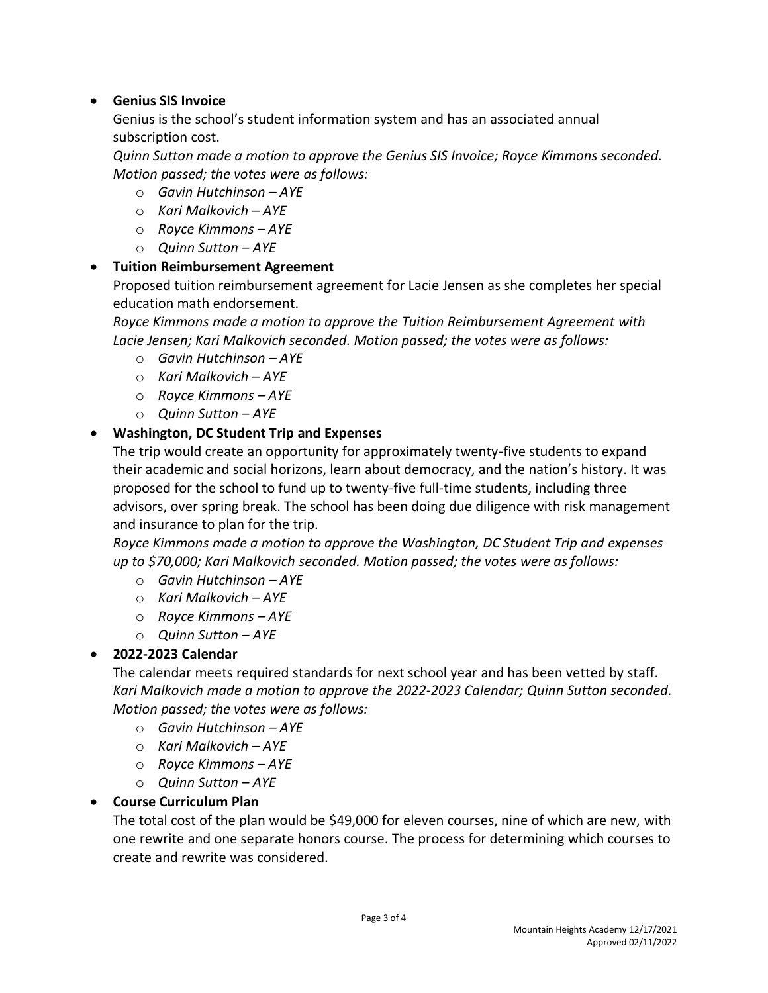## • **Genius SIS Invoice**

Genius is the school's student information system and has an associated annual subscription cost.

*Quinn Sutton made a motion to approve the Genius SIS Invoice; Royce Kimmons seconded. Motion passed; the votes were as follows:*

- o *Gavin Hutchinson – AYE*
- o *Kari Malkovich – AYE*
- o *Royce Kimmons – AYE*
- o *Quinn Sutton – AYE*

## • **Tuition Reimbursement Agreement**

Proposed tuition reimbursement agreement for Lacie Jensen as she completes her special education math endorsement.

*Royce Kimmons made a motion to approve the Tuition Reimbursement Agreement with Lacie Jensen; Kari Malkovich seconded. Motion passed; the votes were as follows:*

- o *Gavin Hutchinson – AYE*
- o *Kari Malkovich – AYE*
- o *Royce Kimmons – AYE*
- o *Quinn Sutton – AYE*

## • **Washington, DC Student Trip and Expenses**

The trip would create an opportunity for approximately twenty-five students to expand their academic and social horizons, learn about democracy, and the nation's history. It was proposed for the school to fund up to twenty-five full-time students, including three advisors, over spring break. The school has been doing due diligence with risk management and insurance to plan for the trip.

*Royce Kimmons made a motion to approve the Washington, DC Student Trip and expenses up to \$70,000; Kari Malkovich seconded. Motion passed; the votes were as follows:*

- o *Gavin Hutchinson – AYE*
- o *Kari Malkovich – AYE*
- o *Royce Kimmons – AYE*
- o *Quinn Sutton – AYE*

## • **2022-2023 Calendar**

The calendar meets required standards for next school year and has been vetted by staff. *Kari Malkovich made a motion to approve the 2022-2023 Calendar; Quinn Sutton seconded. Motion passed; the votes were as follows:*

- o *Gavin Hutchinson – AYE*
- o *Kari Malkovich – AYE*
- o *Royce Kimmons – AYE*
- o *Quinn Sutton – AYE*

## • **Course Curriculum Plan**

The total cost of the plan would be \$49,000 for eleven courses, nine of which are new, with one rewrite and one separate honors course. The process for determining which courses to create and rewrite was considered.